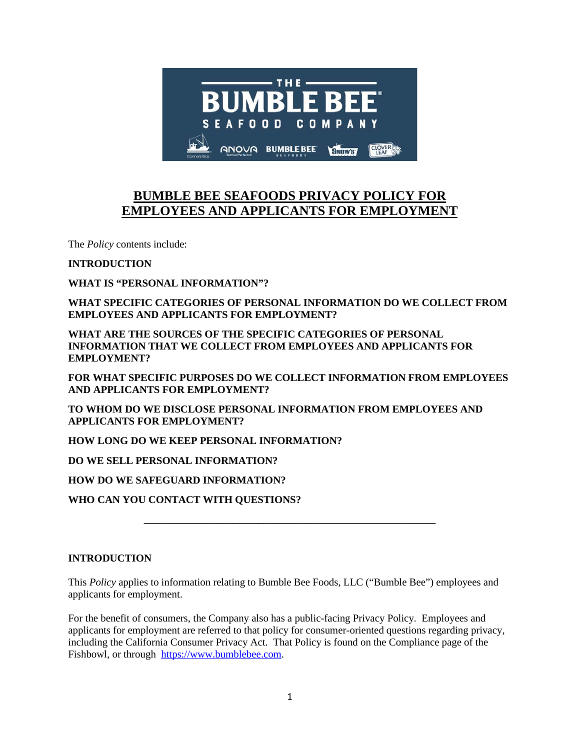

# **BUMBLE BEE SEAFOODS PRIVACY POLICY FOR EMPLOYEES AND APPLICANTS FOR EMPLOYMENT**

The *Policy* contents include:

**INTRODUCTION**

**WHAT IS "PERSONAL INFORMATION"?**

**WHAT SPECIFIC CATEGORIES OF PERSONAL INFORMATION DO WE COLLECT FROM EMPLOYEES AND APPLICANTS FOR EMPLOYMENT?**

**WHAT ARE THE SOURCES OF THE SPECIFIC CATEGORIES OF PERSONAL INFORMATION THAT WE COLLECT FROM EMPLOYEES AND APPLICANTS FOR EMPLOYMENT?**

**FOR WHAT SPECIFIC PURPOSES DO WE COLLECT INFORMATION FROM EMPLOYEES AND APPLICANTS FOR EMPLOYMENT?**

**TO WHOM DO WE DISCLOSE PERSONAL INFORMATION FROM EMPLOYEES AND APPLICANTS FOR EMPLOYMENT?**

**HOW LONG DO WE KEEP PERSONAL INFORMATION?**

**DO WE SELL PERSONAL INFORMATION?**

**HOW DO WE SAFEGUARD INFORMATION?**

**WHO CAN YOU CONTACT WITH QUESTIONS?**

#### **INTRODUCTION**

This *Policy* applies to information relating to Bumble Bee Foods, LLC ("Bumble Bee") employees and applicants for employment.

**\_\_\_\_\_\_\_\_\_\_\_\_\_\_\_\_\_\_\_\_\_\_\_\_\_\_\_\_\_\_\_\_\_\_\_\_\_\_\_\_\_\_\_\_\_\_\_\_\_\_\_\_\_\_\_\_**

For the benefit of consumers, the Company also has a public-facing Privacy Policy. Employees and applicants for employment are referred to that policy for consumer-oriented questions regarding privacy, including the California Consumer Privacy Act. That Policy is found on the Compliance page of the Fishbowl, or through [https://www.bumblebee.com.](https://www.bumblebee.com/)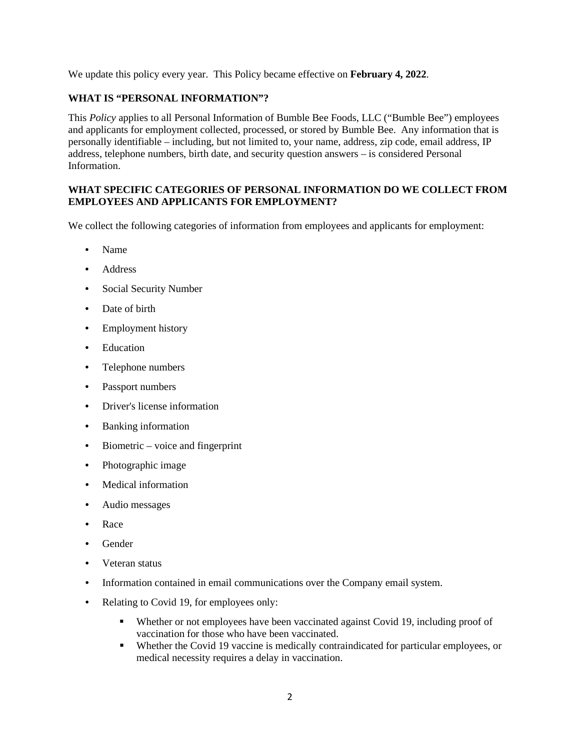We update this policy every year. This Policy became effective on **February 4, 2022**.

# **WHAT IS "PERSONAL INFORMATION"?**

This *Policy* applies to all Personal Information of Bumble Bee Foods, LLC ("Bumble Bee") employees and applicants for employment collected, processed, or stored by Bumble Bee. Any information that is personally identifiable – including, but not limited to, your name, address, zip code, email address, IP address, telephone numbers, birth date, and security question answers – is considered Personal Information.

# **WHAT SPECIFIC CATEGORIES OF PERSONAL INFORMATION DO WE COLLECT FROM EMPLOYEES AND APPLICANTS FOR EMPLOYMENT?**

We collect the following categories of information from employees and applicants for employment:

- Name
- Address
- Social Security Number
- Date of birth
- Employment history
- Education
- Telephone numbers
- Passport numbers
- Driver's license information
- Banking information
- Biometric voice and fingerprint
- Photographic image
- Medical information
- Audio messages
- Race
- Gender
- Veteran status
- Information contained in email communications over the Company email system.
- Relating to Covid 19, for employees only:
	- Whether or not employees have been vaccinated against Covid 19, including proof of vaccination for those who have been vaccinated.
	- Whether the Covid 19 vaccine is medically contraindicated for particular employees, or medical necessity requires a delay in vaccination.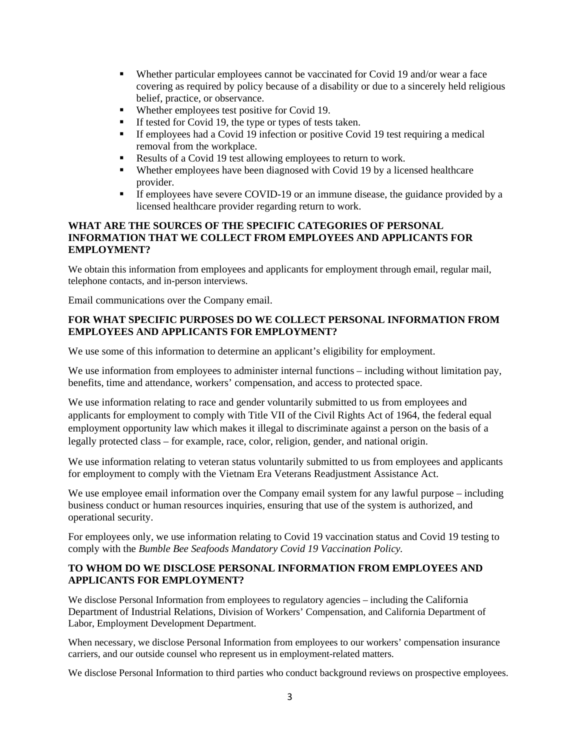- Whether particular employees cannot be vaccinated for Covid 19 and/or wear a face covering as required by policy because of a disability or due to a sincerely held religious belief, practice, or observance.
- Whether employees test positive for Covid 19.
- If tested for Covid 19, the type or types of tests taken.
- If employees had a Covid 19 infection or positive Covid 19 test requiring a medical removal from the workplace.
- Results of a Covid 19 test allowing employees to return to work.<br>Whether employees have been diagnosed with Covid 19 by a lice
- Whether employees have been diagnosed with Covid 19 by a licensed healthcare provider.
- If employees have severe COVID-19 or an immune disease, the guidance provided by a licensed healthcare provider regarding return to work.

#### **WHAT ARE THE SOURCES OF THE SPECIFIC CATEGORIES OF PERSONAL INFORMATION THAT WE COLLECT FROM EMPLOYEES AND APPLICANTS FOR EMPLOYMENT?**

We obtain this information from employees and applicants for employment through email, regular mail, telephone contacts, and in-person interviews.

Email communications over the Company email.

# **FOR WHAT SPECIFIC PURPOSES DO WE COLLECT PERSONAL INFORMATION FROM EMPLOYEES AND APPLICANTS FOR EMPLOYMENT?**

We use some of this information to determine an applicant's eligibility for employment.

We use information from employees to administer internal functions – including without limitation pay, benefits, time and attendance, workers' compensation, and access to protected space.

We use information relating to race and gender voluntarily submitted to us from employees and applicants for employment to comply with Title VII of the Civil Rights Act of 1964, the federal equal employment opportunity law which makes it illegal to discriminate against a person on the basis of a legally protected class – for example, race, color, religion, gender, and national origin.

We use information relating to veteran status voluntarily submitted to us from employees and applicants for employment to comply with the Vietnam Era Veterans Readjustment Assistance Act.

We use employee email information over the Company email system for any lawful purpose – including business conduct or human resources inquiries, ensuring that use of the system is authorized, and operational security.

For employees only, we use information relating to Covid 19 vaccination status and Covid 19 testing to comply with the *Bumble Bee Seafoods Mandatory Covid 19 Vaccination Policy.*

# **TO WHOM DO WE DISCLOSE PERSONAL INFORMATION FROM EMPLOYEES AND APPLICANTS FOR EMPLOYMENT?**

We disclose Personal Information from employees to regulatory agencies – including the California Department of Industrial Relations, Division of Workers' Compensation, and California Department of Labor, Employment Development Department.

When necessary, we disclose Personal Information from employees to our workers' compensation insurance carriers, and our outside counsel who represent us in employment-related matters.

We disclose Personal Information to third parties who conduct background reviews on prospective employees.